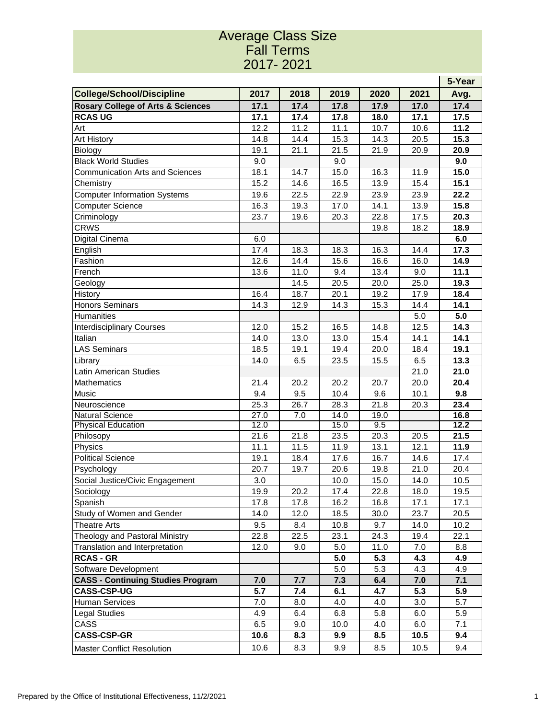## Average Class Size Fall Terms 2017- 2021

| <b>College/School/Discipline</b>             | 2017              | 2018 | 2019              | 2020 | 2021 | Avg. |  |
|----------------------------------------------|-------------------|------|-------------------|------|------|------|--|
| <b>Rosary College of Arts &amp; Sciences</b> | 17.1              | 17.4 | 17.8              | 17.9 | 17.0 | 17.4 |  |
| <b>RCAS UG</b>                               | 17.1              | 17.4 | 17.8              | 18.0 | 17.1 | 17.5 |  |
| Art                                          | 12.2              | 11.2 | 11.1              | 10.7 | 10.6 | 11.2 |  |
| <b>Art History</b>                           | 14.8              | 14.4 | 15.3              | 14.3 | 20.5 | 15.3 |  |
| <b>Biology</b>                               | 19.1              | 21.1 | 21.5              | 21.9 | 20.9 | 20.9 |  |
| <b>Black World Studies</b>                   | 9.0               |      | 9.0               |      |      | 9.0  |  |
| <b>Communication Arts and Sciences</b>       | 18.1              | 14.7 | 15.0              | 16.3 | 11.9 | 15.0 |  |
| Chemistry                                    | 15.2              | 14.6 | 16.5              | 13.9 | 15.4 | 15.1 |  |
| <b>Computer Information Systems</b>          | 19.6              | 22.5 | 22.9              | 23.9 | 23.9 | 22.2 |  |
| Computer Science                             | 16.3              | 19.3 | 17.0              | 14.1 | 13.9 | 15.8 |  |
| Criminology                                  | 23.7              | 19.6 | 20.3              | 22.8 | 17.5 | 20.3 |  |
| <b>CRWS</b>                                  |                   |      |                   | 19.8 | 18.2 | 18.9 |  |
| Digital Cinema                               | 6.0               |      |                   |      |      | 6.0  |  |
| English                                      | 17.4              | 18.3 | 18.3              | 16.3 | 14.4 | 17.3 |  |
| Fashion                                      | 12.6              | 14.4 | 15.6              | 16.6 | 16.0 | 14.9 |  |
| French                                       | 13.6              | 11.0 | 9.4               | 13.4 | 9.0  | 11.1 |  |
| Geology                                      |                   | 14.5 | 20.5              | 20.0 | 25.0 | 19.3 |  |
| History                                      | 16.4              | 18.7 | 20.1              | 19.2 | 17.9 | 18.4 |  |
| <b>Honors Seminars</b>                       | 14.3              | 12.9 | 14.3              | 15.3 | 14.4 | 14.1 |  |
| Humanities                                   |                   |      |                   |      | 5.0  | 5.0  |  |
| <b>Interdisciplinary Courses</b>             | 12.0              | 15.2 | 16.5              | 14.8 | 12.5 | 14.3 |  |
| Italian                                      | 14.0              | 13.0 | 13.0              | 15.4 | 14.1 | 14.1 |  |
| <b>LAS Seminars</b>                          | 18.5              | 19.1 | 19.4              | 20.0 | 18.4 | 19.1 |  |
| Library                                      | 14.0              | 6.5  | 23.5              | 15.5 | 6.5  | 13.3 |  |
| Latin American Studies                       |                   |      |                   |      | 21.0 | 21.0 |  |
| <b>Mathematics</b>                           | 21.4              | 20.2 | 20.2              | 20.7 | 20.0 | 20.4 |  |
| Music                                        | 9.4               | 9.5  | 10.4              | 9.6  | 10.1 | 9.8  |  |
| Neuroscience                                 | 25.3              | 26.7 | 28.3              | 21.8 | 20.3 | 23.4 |  |
| <b>Natural Science</b>                       | $\overline{27.0}$ | 7.0  | $\overline{14.0}$ | 19.0 |      | 16.8 |  |
| <b>Physical Education</b>                    | 12.0              |      | 15.0              | 9.5  |      | 12.2 |  |
| Philosopy                                    | 21.6              | 21.8 | 23.5              | 20.3 | 20.5 | 21.5 |  |
| Physics                                      | 11.1              | 11.5 | 11.9              | 13.1 | 12.1 | 11.9 |  |
| <b>Political Science</b>                     | 19.1              | 18.4 | 17.6              | 16.7 | 14.6 | 17.4 |  |
| Psychology                                   | 20.7              | 19.7 | 20.6              | 19.8 | 21.0 | 20.4 |  |
| Social Justice/Civic Engagement              | 3.0               |      | 10.0              | 15.0 | 14.0 | 10.5 |  |
| Sociology                                    | 19.9              | 20.2 | 17.4              | 22.8 | 18.0 | 19.5 |  |
| Spanish                                      | 17.8              | 17.8 | 16.2              | 16.8 | 17.1 | 17.1 |  |
| Study of Women and Gender                    | 14.0              | 12.0 | 18.5              | 30.0 | 23.7 | 20.5 |  |
| <b>Theatre Arts</b>                          | 9.5               | 8.4  | 10.8              | 9.7  | 14.0 | 10.2 |  |
| Theology and Pastoral Ministry               | 22.8              | 22.5 | 23.1              | 24.3 | 19.4 | 22.1 |  |
| Translation and Interpretation               | 12.0              | 9.0  | 5.0               | 11.0 | 7.0  | 8.8  |  |
| <b>RCAS - GR</b>                             |                   |      | 5.0               | 5.3  | 4.3  | 4.9  |  |
| Software Development                         |                   |      | 5.0               | 5.3  | 4.3  | 4.9  |  |
| <b>CASS - Continuing Studies Program</b>     | 7.0               | 7.7  | 7.3               | 6.4  | 7.0  | 7.1  |  |
| <b>CASS-CSP-UG</b>                           | 5.7               | 7.4  | 6.1               | 4.7  | 5.3  | 5.9  |  |
| <b>Human Services</b>                        | 7.0               | 8.0  | 4.0               | 4.0  | 3.0  | 5.7  |  |
| Legal Studies                                | 4.9               | 6.4  | 6.8               | 5.8  | 6.0  | 5.9  |  |
| CASS                                         | 6.5               | 9.0  | 10.0              | 4.0  | 6.0  | 7.1  |  |
| <b>CASS-CSP-GR</b>                           | 10.6              | 8.3  | 9.9               | 8.5  | 10.5 | 9.4  |  |
| <b>Master Conflict Resolution</b>            | 10.6              | 8.3  | 9.9               | 8.5  | 10.5 | 9.4  |  |